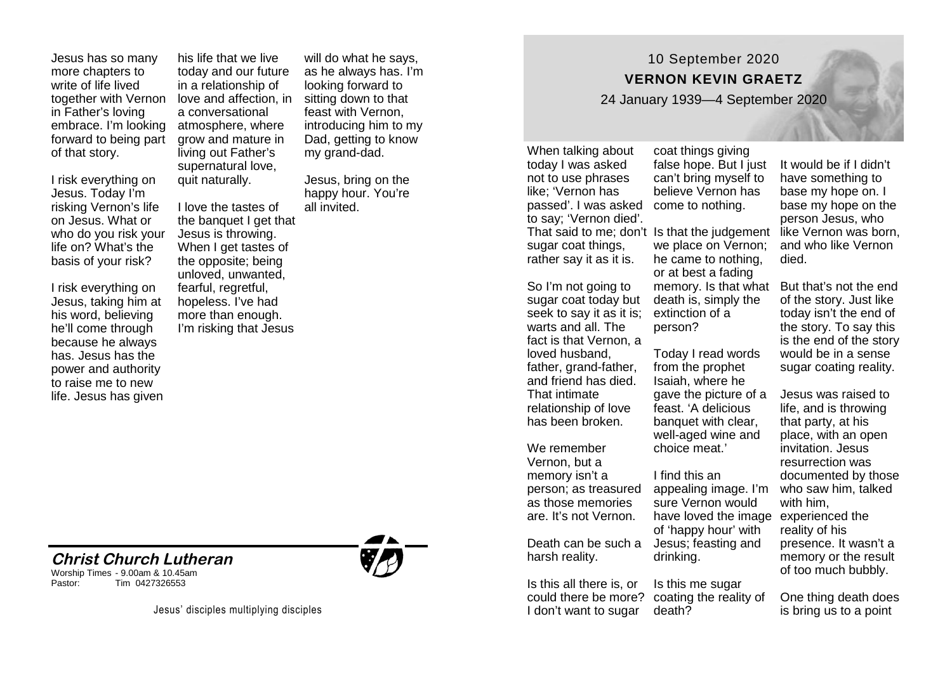Jesus has so many more chapters to write of life lived together with Vernon in Father's loving embrace. I'm looking forward to being part of that story.

I risk everything on Jesus. Today I'm risking Vernon's life on Jesus. What or who do you risk your life on? What's the basis of your risk?

I risk everything on Jesus, taking him at his word, believing he'll come through because he always has. Jesus has the power and authority to raise me to new life. Jesus has given

**Christ Church Lutheran** 

Tim 0427326553

Worship Times - 9.00am & 10.45am

his life that we live today and our future in a relationship of love and affection, in a conversational atmosphere, where grow and mature in living out Father's supernatural love, quit naturally.

I love the tastes of the banquet I get that Jesus is throwing. When I get tastes of the opposite; being unloved, unwanted, fearful, regretful, hopeless. I've had more than enough. I'm risking that Jesus

will do what he says, as he always has. I'm looking forward to sitting down to that feast with Vernon introducing him to my Dad, getting to know my grand-dad.

Jesus, bring on the happy hour. You're all invited.

10 September 2020 **VERNON KEVIN GRAETZ** 

24 January 1939—4 September 2020

When talking about today I was asked not to use phrases like; 'Vernon has passed'. I was asked come to nothing. to say; 'Vernon died'. sugar coat things. rather say it as it is.

So I'm not going to sugar coat today but seek to say it as it is; extinction of a warts and all. The fact is that Vernon, a loved husband, father, grand-father, and friend has died. That intimate relationship of love has been broken.

We remember Vernon, but a memory isn't a person; as treasured as those memories are. It's not Vernon.

Death can be such a Jesus; feasting and harsh reality.

Is this all there is, or could there be more? coating the reality of I don't want to sugar

coat things giving false hope. But Liust can't bring myself to believe Vernon has

That said to me; don't Is that the judgement like Vernon was born, we place on Vernon; he came to nothing, or at best a fading death is, simply the person?

> Today I read words from the prophet Isaiah, where he gave the picture of a feast. 'A delicious banquet with clear, well-aged wine and choice meat.'

I find this an appealing image. I'm sure Vernon would have loved the image experienced the of 'happy hour' with drinking.

Is this me sugar death?

It would be if I didn't have something to base my hope on. I base my hope on the person Jesus, who and who like Vernon died.

memory. Is that what But that's not the end of the story. Just like today isn't the end of the story. To say this is the end of the story would be in a sense sugar coating reality.

> Jesus was raised to life, and is throwing that party, at his place, with an open invitation. Jesus resurrection was documented by those who saw him, talked with him, reality of his presence. It wasn't a memory or the result of too much bubbly.

One thing death does is bring us to a point

Jesus' disciples multiplying disciples